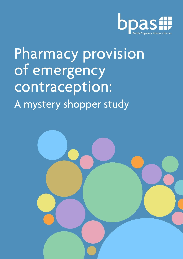

# Pharmacy provision of emergency contraception: A mystery shopper study

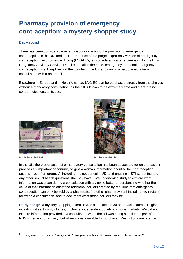# **Pharmacy provision of emergency contraception: a mystery shopper study**

# **Background**

There has been considerable recent discussion around the provision of emergency contraception in the UK, and in 2017 the price of the progestogen-only version of emergency contraception, levonorgestrel 1.5mg (LNG-EC), fell considerably after a campaign by the British Pregnancy Advisory Service. Despite the fall in the price, emergency hormonal emergency contraception is still kept behind the counter in the UK and can only be obtained after a consultation with a pharmacist.

Elsewhere in Europe and in North America, LNG-EC can be purchased directly from the shelves without a mandatory consultation, as the pill is known to be extremely safe and there are no contra-indications to its use.



EC on the pharmacy shelf in Sweden EC on the pharmacy shelf in the US



In the UK, the preservation of a mandatory consultation has been advocated for on the basis it provides an important opportunity to give a woman information about all her contraception options – both "emergency", including the copper coil (IUD) and ongoing – STI screening and any other sexual health questions she may have<sup>1</sup>. We undertook a study to explore what information was given during a consultation with a view to better understanding whether the value of that information offset the additional barriers created by requiring that emergency contraception can only be sold by a pharmacist (no other pharmacy staff including technicians) following a consultation, and to document what those barriers may be.

**Study design**: a mystery shopping exercise was conducted in 30 pharmacies across England, including cities, towns, villages, in chains, independent outlets and supermarkets. We did not explore information provided in a consultation when the pill was being supplied as part of an NHS scheme in pharmacy, but when it was available for purchase. Restrictions are often in

<sup>1</sup> https://www.rpharms.com/news/details/Emergency-contraception-needs-a-consultation-says-RPS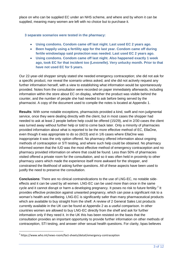place on who can be supplied EC under an NHS scheme, and where and by whom it can be supplied, meaning many women are left with no choice but to purchase it.

## **3 separate scenarios were tested in the pharmacy:**

- **Using condoms. Condom came off last night. Last used EC 2 years ago.**
- **Been happily using a fertility app for the last year. Condom came off during fertile window/app said protection was needed. Last used EC 2 years ago.**
- **Using condoms. Condom came off last night. Also happened exactly 1 week ago, took EC for that incident too (Levonelle). Very unlucky month. Prior to that have not used EC for 5 years.**

Our 22-year-old shopper simply stated she needed emergency contraception; she did not ask for a specific product, nor reveal the scenario unless asked, and she did not actively request any further information herself, with a view to establishing what information would be spontaneously provided. Notes from the consultation were recorded on paper immediately afterwards, including information within the store about EC on display, whether the product was visible behind the counter, and the number of people she had needed to ask before being served by the pharmacist. A copy of the document used to compile the notes is located at Appendix 1.

**Results**: With some notable exceptions, pharmacists provided a kind, swift and non-judgmental service, once they were dealing directly with the client, but in most cases the shopper had needed to ask at least 2 people before help could be offered (15/29), and in 2/30 cases the client was turned away without further help or told to come back later. Only a minority of pharmacies provided information about what is reported to be the more effective method of EC, EllaOne, even though it was appropriate to do so (6/23) and in 1/6 cases where EllaOne was inappropriate it was the only option offered. No pharmacy offered information about ongoing methods of contraception or STI testing, and where such help could be obtained. No pharmacy informed women that the IUD was the most effective method of emergency contraception and no pharmacy provided information on where that could be found. Less than 50% of pharmacies visited offered a private room for the consultation, and so it was often held in proximity to other pharmacy users which made the experience itself more awkward for the shopper, and constrained the likelihood of asking further questions. All of these aspects have been used to justify the need to preserve the consultation.

**Conclusions**: There are no clinical contraindications to the use of LNG-EC, no notable sideeffects and it can be used by all women. LNG-EC can be used more than once in the same cycle and it cannot disrupt or harm a developing pregnancy. It poses no risk to future fertility.<sup>2</sup> It provides effective protection against unwanted pregnancy, which can pose a significant risk to a woman's health and wellbeing. LNG-EC is significantly safer than many pharmaceutical products which are available to buy straight from the shelf. A review of 2 General Sales List products currently available in the UK can be found at Appendix 2 as a useful comparison. In other countries women are allowed to buy LNG-EC directly from the shelf and ask for further information only if they need it. In the UK this has been resisted on the basis that the consultation provides an important opportunity to provide further information on other methods of contraception, STI testing, and answer other sexual health questions. For clarity, bpas believes

<sup>&</sup>lt;sup>2</sup> https://www.who.int/news-room/fact-sheets/detail/emergency-contraception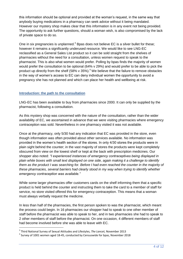this information should be optional and provided at the woman's request, in the same way that anybody buying medications in a pharmacy can seek advice without it being mandated. However our mystery shop makes clear that this information is in any event not being provided. The opportunity to ask further questions, should a woman wish, is also compromised by the lack of private space to do so.

One in six pregnancies is unplanned.<sup>3</sup> Bpas does not believe EC is a silver bullet for these; however it remains a significantly underused resource. We would like to see LNG-EC reclassified as a General Sales List product so it can be sold straight from the shelves of pharmacies without the need for a consultation, unless women request to speak to the pharmacist. This is also what women would prefer. Polling by bpas finds the majority of women would prefer the consultation to be optional (64% v 29%) and would prefer to be able to pick the product up directly from the shelf (58% v 35%).<sup>4</sup> We believe that the failure to remove obstacles in the way of women's access to EC can deny individual women the opportunity to avoid a pregnancy she has not planned and which can place her health and wellbeing at risk.

#### **Introduction: the path to the consultation**

LNG-EC has been available to buy from pharmacies since 2000. It can only be supplied by the pharmacist, following a consultation.

As this mystery shop was concerned with the nature of the consultation, rather than the wider availability of EC, we ascertained in advance that we were visiting pharmacies where emergency contraception was sold. Nevertheless in one pharmacy visited it was not available.

Once at the pharmacy, only 5/30 had any indication that EC was provided in the store, even though information was often provided about other services available. No information was provided in the women's health section of the stores. In only 4/30 stores the products were in plain sight behind the counter; in the vast majority of stores the products were kept completely obscured from view on the lowest shelf or kept at the back with prescription medicines. Our shopper also noted: *"I experienced instances of emergency contraceptives being displayed in plain white boxes with small text displayed on one side, again making it a challenge to identify them as the product I was searching for. Before I had even reached the counter in the majority of these pharmacies, several barriers had clearly stood in my way when trying to identify whether emergency contraception was available."*

While some larger pharmacies offer customers cards on the shelf informing them that a specific product is held behind the counter and instructing them to take the card to a member of staff for service, no store visited offered this for emergency contraception. This means that a woman must always verbally request the medicine.

In less than half of the pharmacies, the first person spoken to was the pharmacist, which meant the process could begin. In 16 pharmacies our shopper had to speak to one other member of staff before the pharmacist was able to speak to her, and in two pharmacies she had to speak to 2 other members of staff before the pharmacist. On one occasion, 4 different members of staff had become involved before she was able to leave with EC.

<sup>3</sup> Third National Survey of Sexual Attitudes and Lifestyles, *The Lancet,* November 2013

 $^4$  Survey of 1001 women aged 18-45, conducted by Censuswide for bpas, November 2018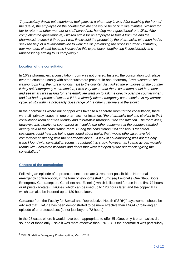*"A particularly drawn out experience took place in a pharmacy in xxx. After reaching the front of the queue, the employee on the counter told me she would be back in five minutes. Waiting for her to return, another member of staff served me, handing me a questionnaire to fill in. After completing the questionnaire, I waited again for an employee to take it from me and the pharmacist to check it through. I was finally sold the product by the pharmacist, who then had to seek the help of a fellow employee to work the till, prolonging the process further. Ultimately, four members of staff became involved in this experience, lengthening it considerably and unnecessarily adding to its complexity."*

#### **Location of the consultation**

In 16/29 pharmacies, a consultation room was not offered. Instead, the consultation took place over the counter, usually with other customers present. In one pharmacy, "*two customers sat waiting to pick up their prescriptions next to the counter. As I asked the employee on the counter if they sold emergency contraception, I was very aware that these customers could both hear*  and see what I was asking for. The employee went on to ask me directly over the counter when I *had last had unprotected sex and if I had already taken emergency contraception in my current cycle, all still within a noticeably close range of the other customers in the store".*

In the pharmacies where our shopper was taken to a separate room for the consultation, there were still privacy issues. In one pharmacy, for instance, *"the pharmacist took me straight to their consultation room and was friendly and informative throughout the consultation. The room itself, however, was clearly not soundproof as I could hear other customers at the counter, situated directly next to the consultation room. During the consultation I felt conscious that other customers could hear me being questioned about topics that I would otherwise have felt comfortable answering with the pharmacist alone…A lack of soundproofing was not the only issue I found with consultation rooms throughout this study, however, as I came across multiple rooms with uncovered windows and doors that were left open by the pharmacist giving the consultation."* 

#### **Content of the consultation**

Following an episode of unprotected sex, there are 3 treatment possibilities. Hormonal emergency contraception, in the form of levonorgestrel 1.5mg (eg Levonelle One Step, Boots Emergency Contraception, Consilient and Ezinelle) which is licensed for use in the first 72 hours, or ullipristal-acetate (EllaOne), which can be used up to 120 hours later, and the copper IUD, which can also be inserted up to 120 hours later.

Guidance from the Faculty for Sexual and Reproductive Health  $(FSRH)^5$  says women should be advised that EllaOne has been demonstrated to be more effective than LNG-EC following an episode of unprotected sex (ie not just beyond 72 hours).

In the 23 cases where it would have been appropriate to offer EllaOne, only 6 pharmacists did so, and of those only 2 said it was more effective than LNG-EC. One pharmacist was particularly

<sup>&</sup>lt;sup>5</sup> FSRH Guideline Emergency Contraception; March 2017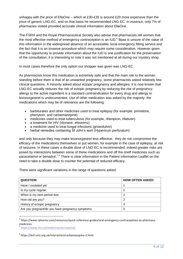unhappy with the price of EllaOne – which at £30-£35 is around £20 more expensive than the price of generic LNG-EC, and on that basis he recommended LNG-EC. In essence, only 7% of pharmacies visited provided accurate clinical information about EllaOne.

The FSRH and the Royal Pharmaceutical Society also advise that pharmacists tell women that the most effective method of emergency contraception is an IUD.<sup>6</sup> Bpas is unsure of the value of this information in the widespread absence of an accessible, local emergency fitting service and the fact that it is an invasive procedure which may require some consideration. However given that the opportunity to provide information about the IUD is one justification for the preservation of the consultation, it is interesting to note it was not mentioned at all during our mystery shop.

In most cases therefore the only option our shopper was given was LNG-EC.

As pharmacists know this medication is extremely safe and that the main risk to the woman standing before them is that of an unwanted pregnancy, some pharmacists asked relatively few clinical questions. A minority asked about ectopic pregnancy and allergies: it is now known that LNG-EC actually reduces the risk of ectopic pregnancy by reducing the risk of pregnancy; allergy to the active ingredient is a standard contraindication for every drug and allergy to levonorgestrel is undocumented. Use of other medication was asked by the majority: the medications which may be of relevance are the following:

- barbiturates and other medicines used to treat epilepsy (for example, primidone, phenytoin, and carbamazepine)
- medicines used to treat tuberculosis (for example, rifampicin, rifabutin)
- a treatment for HIV (ritonavir, efavirenz)
- a medicine used to treat fungal infections (griseofulvin)
- herbal remedies containing St John's wort (*Hypericum perforatum*)

and only because they may make levonorgestrel less effective, they do not compromise the efficacy of the medications themselves or put women, for example in the case of epilepsy, at risk of seizures. In these cases a double dose of LNG-EC is recommended; indeed greater risks are posed by interactions between some of these medications and off the shelf medicines such as paracetamol or benadryl.<sup>78</sup> There is clear information in the Patient Information Leaflet on the need to take a double dose to counter the potential of reduced efficacy.

There were significant variations in the range of questions asked:

| <b>QUESTION</b>                                 | <b>HOW OFTEN ASKED</b> |
|-------------------------------------------------|------------------------|
| Have I ovulated yet                             |                        |
| Is my cycle regular                             | 2                      |
| When is my next period due                      | 2                      |
| How old are you?                                | 2                      |
| History of ectopic pregnancy                    | 3                      |
| Are you pregnant/do you have pregnancy symptoms | 5                      |

<sup>6</sup> https://www.rpharms.com/resources/quick-reference-guides/oral-emergency-contraceptives-as-pharmacymedicines

7 <https://www.nhs.uk/medicines/acrivastine/>

 $\overline{a}$ 

<sup>8</sup> https://bnf.nice.org.uk/interaction/carbamazepine-2.html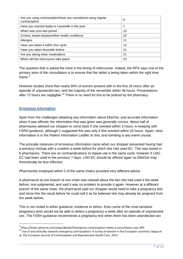| Are you using contraception/have you considered using regular<br>contraception | 6  |
|--------------------------------------------------------------------------------|----|
| Have you reacted badly to Levonelle in the past                                | 7  |
| When was your last period                                                      | 10 |
| Crohns, bowel disease/other health conditions                                  | 10 |
| Allergies                                                                      | 11 |
| Have you taken it within this cycle                                            | 12 |
| Have you taken levonelle before                                                | 21 |
| Are you taking other medications                                               | 21 |
| When did the intercourse take place                                            | 23 |

The question that is asked the most is the timing of intercourse. Indeed, the RPS says one of the primary aims of the consultation is to ensure that the tablet is being taken within the right time frame $<sup>9</sup>$ </sup>

However studies show that nearly 90% of women present with in the first 24 hours after an episode of unprotected sex, and the majority of the remainder within 48 hours. Presentations after 72 hours are negligible.<sup>10</sup> There is no need for this to be policed by the pharmacy.

#### **Erroneous information**

 $\overline{a}$ 

Apart from the challenges obtaining any information about EllaOne, and accurate information when it was offered, the information that was given was generally correct. About half of pharmacies advised our shopper to come back if she vomited within 3 hours, in keeping with FSRH guidance, although 2 suggested this was only if she vomited within 24 hours. Again, clear information is in the Patient Information Leaflet on this, and vomiting is any event unusal.

The principle instances of erroneous information came when our shopper presented having had a previous mishap with a condom a week before for which she had used EC. This was tested in 6 pharmacies. There are no contraindications to repeat use in the same cycle; however if LNG-EC had been used in the previous 7 days, LNG-EC should be offered again as EllaOne may theoretically be less effective.

Pharmacists employed within 2 of the same chains provided very different advice.

A pharmacist at one branch of one chain was relaxed about the fact she had used it the week before, non-judgmental, and said it was no problem to provide it again. However at a different branch of the same chain, the pharmacist said our shopper would need to take a pregnancy test and show him the result before he could sell it as he believed she may already be pregnant from the week before.

This is not rooted in either guidance, evidence or ethics. Even some of the most sensitive pregnancy tests would not be able to detect a pregnancy a week after an episode of unprotected sex. The FSRH guidance recommends a pregnancy test when there has been unprotected sex

<sup>9</sup> https://www.rpharms.com/news/details/Emergency-contraception-needs-a-consultation-says-RPS

<sup>10</sup> Use of and attitudes towards emergency contraception: A survey of women in five European countries; Nappi et al; The European Journal of Contraception and Reproductive Health Care, 2013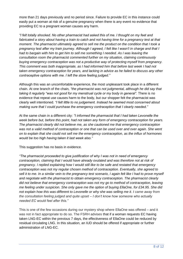more than 21 days previously and no period since. Failure to provide EC in this instance could easily put a woman at risk of a genuine pregnancy when there is any event no evidence that providing EC to a pregnant woman causes any harm.

*"I felt totally shocked. No other pharmacist had asked this of me. I thought on my feet and*  fabricated a story about having a train to catch and not having time for a pregnancy test at that *moment. The pharmacist ultimately agreed to sell me the product on the condition that I took a pregnancy test after my train journey. Although I agreed, I felt like I wasn't in charge and that I had to bargain with him to get him to sell me something I needed. As I was leaving the consultation room the pharmacist commented further on my situation, claiming continuously buying emergency contraception was not a productive way of protecting myself from pregnancy. This comment was both inappropriate, as I had informed him that before last week I had not taken emergency contraception for years, and lacking in advice as he failed to discuss any other contraceptive options with me. I left the store feeling judged."*

Although this was an uncomfortable experience, the most unpleasant took place in a different chain. At one branch of the chain*, "the pharmacist was not judgmental, although he did say that taking it regularly "was not good for my menstrual cycle or my body in general".* There is no evidence that repeat use causes harm to the body, but our shopper felt the pharmacist was clearly well intentioned. *"I felt little to no judgement. Instead he seemed most concerned about making sure that I could purchase the emergency contraception that I clearly needed."*

At the same chain in a different city: *"I informed the pharmacist that I had taken Levonelle the week before but, before this point, had not taken any form of emergency contraception for years. The pharmacist clearly did not believe me, as she cautioned me that emergency contraception was not a valid method of contraception or one that can be used over and over again. She went on to explain that she could not sell me the emergency contraception, as the influx of hormones would be too high having taken it last week also."*

This suggestion has no basis in evidence.

*"The pharmacist proceeded to give justification of why I was not in need of emergency contraception, claiming that I would have already ovulated and was therefore not at risk of pregnancy. I replied explaining how I would still like to be safe and restated that emergency contraception was not my regular chosen method of contraception. Eventually, she agreed to*  sell it to me. In a similar vein to the pregnancy test scenario, I again felt like I had to prove myself *and negotiate with the pharmacist to obtain emergency contraception. The pharmacist clearly did not believe that emergency contraception was not my go to method of contraception, leaving me feeling under suspicion. She only gave me the option of buying EllaOne, for £34.95. She did not explain how this was different to Levonelle or why she was selling me it. I came away from the consultation feeling judged and quite upset – I don't know how someone who actually needed EC would feel after this."*

This is one of the few occasions during our mystery shop where EllaOne was offered – and it was not in fact appropriate to do so. The FSRH advises that if a woman requests EC having taken LNG-EC within the previous 7 days, the effectiveness of EllaOne could be reduced by residual circulating LNG. In this situation, an IUD should be offered if appropriate or further administration of LNG-EC.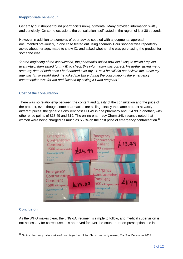#### **Inappropriate behaviour**

Generally our shopper found pharmacists non-judgmental. Many provided information swiftly and concisely. On some occasions the consultation itself lasted in the region of just 30 seconds.

However in addition to examples of poor advice coupled with a judgmental approach documented previously, in one case tested out using scenario 1 our shopper was repeatedly asked about her age, made to show ID, and asked whether she was purchasing the product for someone else.

*"At the beginning of the consultation, the pharmacist asked how old I was, to which I replied twenty-two, then asked for my ID to check this information was correct. He further asked me to state my date of birth once I had handed over my ID, as if he still did not believe me. Once my age was firmly established, he asked me twice during the consultation if the emergency contraception was for me and finished by asking if I was pregnant."*

#### **Cost of the consultation**

There was no relationship between the content and quality of the consultation and the price of the product, even though some pharmacies are selling exactly the same product at vastly different prices: the generic Consilient cost £11.49 in one pharmacy and £24.99 in another, with other price points of £13.49 and £19. The online pharmacy Chemist4U recently noted that women were being charged as much as 650% on the cost price of emergency contraception.<sup>11</sup>



#### **Conclusion**

As the WHO makes clear, the LNG-EC regimen is simple to follow, and medical supervision is not necessary for correct use. It is approved for over-the-counter or non-prescription use in

<sup>11</sup> Online pharmacy halves price of morning-after pill for Christmas party season, *The Sun,* December 2018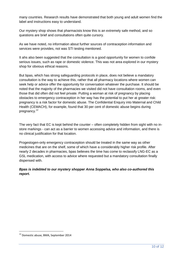many countries. Research results have demonstrated that both young and adult women find the label and instructions easy to understand.

Our mystery shop shows that pharmacists know this is an extremely safe method, and so questions are brief and consultations often quite cursory.

As we have noted, no information about further sources of contraception information and services were provides, not was STI testing mentioned.

It ahs also been suggested that the consultation is a good opportunity for women to confide serious issues, such as rape or domestic violence. This was not area explored in our mystery shop for obvious ethical reasons.

But bpas, which has strong safeguarding protocols in place, does not believe a mandatory consultation is the way to achieve this, rather that all pharmacy locations where women can seek help or advice offer the opportunity for conversation whatever the purchase. It should be noted that the majority of the pharmacies we visited did not have consultation rooms, and even those that did often did not feel private. Putting a woman at risk of pregnancy by placing obstacles to emergency contraception in her way has the potential to put her at greater risk: pregnancy is a risk factor for domestic abuse. The Confidential Enquiry into Maternal and Child Health (CEMACH), for example, found that 30 per cent of domestic abuse begins during pregnancy.<sup>12</sup>

The very fact that EC is kept behind the counter – often completely hidden from sight with no instore markings - can act as a barrier to women accessing advice and information, and there is no clinical justification for that location.

Progestogen-only emergency contraception should be treated in the same way as other medicines that are on the shelf, some of which have a considerably higher risk profile. After nearly 2 decades in pharmacies, bpas believes the time has come to reclassify LNG-EC as a GSL medication, with access to advice where requested but a mandatory consultation finally dispensed with.

## *Bpas is indebted to our mystery shopper Anna Soppelsa, who also co-authored this report.*

<sup>12</sup> Domestic abuse, BMA, September 2014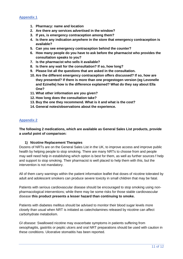- **1. Pharmacy: name and location**
- **2. Are there any services advertised in the window?**
- **3. If yes, is emergency contraception among them?**
- **4. Is there any indication anywhere in the store that emergency contraception is available?**
- **5. Can you see emergency contraception behind the counter?**
- **6. How many people do you have to ask before the pharmacist who provides the consultation speaks to you?**
- **7. Is the pharmacist who sells it available?**
- **8. Is there any wait for the consultation? If so, how long?**
- **9. Please list all the questions that are asked in the consultation.**
- **10. Are the different emergency contraception offers discussed? If so, how are they presented? If there is more than one progestogen version (eg Levonelle and Ezinelle) how is the difference explained? What do they say about Ella One?**
- **11. What other information are you given?**
- **12. How long does the consultation take?**
- **13. Buy the one they recommend. What is it and what is the cost?**
- **14. General notes/observations about the experience.**

#### **Appendix 2**

**The following 2 medications, which are available as General Sales List products, provide a useful point of comparison:**

#### **1) Nicotine Replacement Therapies**

Dozens of NRTs are on the General Sales List in the UK, to improve access and improve public health by helping people to stop smoking. There are many NRTs to choose from and people may well need help in establishing which option is best for them, as well as further sources f help and support to stop smoking. Their pharmacist is well placed to help them with this, but the intervention is not mandatory.

All of them carry warnings within the patient information leaflet that doses of nicotine tolerated by adult and adolescent smokers can produce severe toxicity in small children that may be fatal.

Patients with serious cardiovascular disease should be encouraged to stop smoking using nonpharmacological interventions; while there may be some risks for those stable cardiovascular disease **this product presents a lesser hazard than continuing to smoke.** 

Patients with diabetes mellitus should be advised to monitor their blood sugar levels more closely than usual when NRT is initiated as catecholamines released by nicotine can affect carbohydrate metabolism.

*GI disease:* Swallowed nicotine may exacerbate symptoms in patients suffering from oesophagitis, gastritis or peptic ulcers and oral NRT preparations should be used with caution in these conditions. Ulcerative stomatitis has been reported.